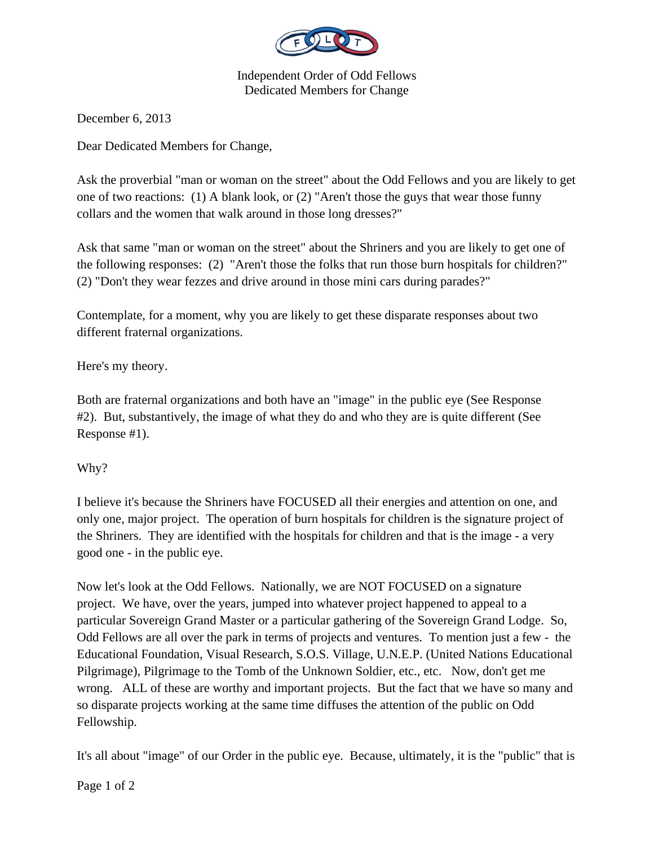

Independent Order of Odd Fellows Dedicated Members for Change

December 6, 2013

Dear Dedicated Members for Change,

Ask the proverbial "man or woman on the street" about the Odd Fellows and you are likely to get one of two reactions: (1) A blank look, or (2) "Aren't those the guys that wear those funny collars and the women that walk around in those long dresses?"

Ask that same "man or woman on the street" about the Shriners and you are likely to get one of the following responses: (2) "Aren't those the folks that run those burn hospitals for children?" (2) "Don't they wear fezzes and drive around in those mini cars during parades?"

Contemplate, for a moment, why you are likely to get these disparate responses about two different fraternal organizations.

Here's my theory.

Both are fraternal organizations and both have an "image" in the public eye (See Response #2). But, substantively, the image of what they do and who they are is quite different (See Response #1).

Why?

I believe it's because the Shriners have FOCUSED all their energies and attention on one, and only one, major project. The operation of burn hospitals for children is the signature project of the Shriners. They are identified with the hospitals for children and that is the image - a very good one - in the public eye.

Now let's look at the Odd Fellows. Nationally, we are NOT FOCUSED on a signature project. We have, over the years, jumped into whatever project happened to appeal to a particular Sovereign Grand Master or a particular gathering of the Sovereign Grand Lodge. So, Odd Fellows are all over the park in terms of projects and ventures. To mention just a few - the Educational Foundation, Visual Research, S.O.S. Village, U.N.E.P. (United Nations Educational Pilgrimage), Pilgrimage to the Tomb of the Unknown Soldier, etc., etc. Now, don't get me wrong. ALL of these are worthy and important projects. But the fact that we have so many and so disparate projects working at the same time diffuses the attention of the public on Odd Fellowship.

It's all about "image" of our Order in the public eye. Because, ultimately, it is the "public" that is

Page 1 of 2